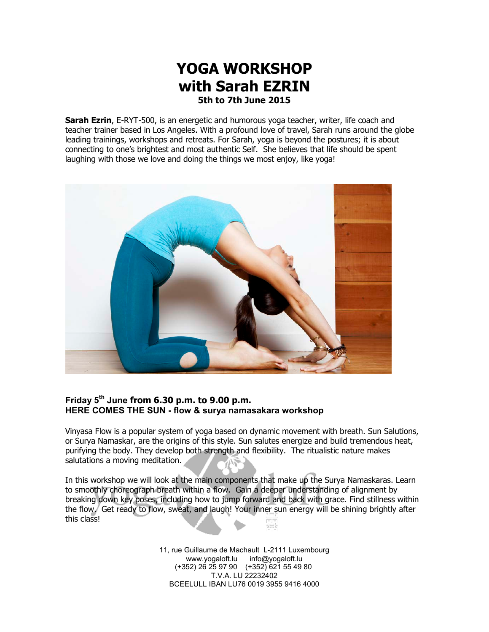# **YOGA WORKSHOP with Sarah EZRIN 5th to 7th June 2015**

**Sarah Ezrin**, E-RYT-500, is an energetic and humorous yoga teacher, writer, life coach and teacher trainer based in Los Angeles. With a profound love of travel, Sarah runs around the globe leading trainings, workshops and retreats. For Sarah, yoga is beyond the postures; it is about connecting to one's brightest and most authentic Self. She believes that life should be spent laughing with those we love and doing the things we most enjoy, like yoga!



#### **Friday 5th June from 6.30 p.m. to 9.00 p.m. HERE COMES THE SUN - flow & surya namasakara workshop**

Vinyasa Flow is a popular system of yoga based on dynamic movement with breath. Sun Salutions, or Surya Namaskar, are the origins of this style. Sun salutes energize and build tremendous heat, purifying the body. They develop both strength and flexibility. The ritualistic nature makes salutations a moving meditation.

In this workshop we will look at the main components that make up the Surya Namaskaras. Learn to smoothly choreograph breath within a flow. Gain a deeper understanding of alignment by breaking down key poses, including how to jump forward and back with grace. Find stillness within the flow. Get ready to flow, sweat, and laugh! Your inner sun energy will be shining brightly after this class! šН

> 11, rue Guillaume de Machault L-2111 Luxembourg www.yogaloft.lu info@yogaloft.lu (+352) 26 25 97 90 (+352) 621 55 49 80 T.V.A. LU 22232402 BCEELULL IBAN LU76 0019 3955 9416 4000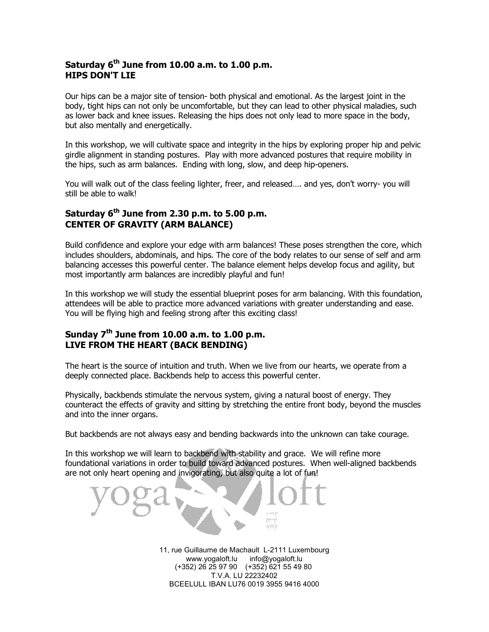#### **Saturday 6th June from 10.00 a.m. to 1.00 p.m. HIPS DON'T LIE**

Our hips can be a major site of tension- both physical and emotional. As the largest joint in the body, tight hips can not only be uncomfortable, but they can lead to other physical maladies, such as lower back and knee issues. Releasing the hips does not only lead to more space in the body, but also mentally and energetically.

In this workshop, we will cultivate space and integrity in the hips by exploring proper hip and pelvic girdle alignment in standing postures. Play with more advanced postures that require mobility in the hips, such as arm balances. Ending with long, slow, and deep hip-openers.

You will walk out of the class feeling lighter, freer, and released…. and yes, don't worry- you will still be able to walk!

#### **Saturday 6th June from 2.30 p.m. to 5.00 p.m. CENTER OF GRAVITY (ARM BALANCE)**

Build confidence and explore your edge with arm balances! These poses strengthen the core, which includes shoulders, abdominals, and hips. The core of the body relates to our sense of self and arm balancing accesses this powerful center. The balance element helps develop focus and agility, but most importantly arm balances are incredibly playful and fun!

In this workshop we will study the essential blueprint poses for arm balancing. With this foundation, attendees will be able to practice more advanced variations with greater understanding and ease. You will be flying high and feeling strong after this exciting class!

### **Sunday 7th June from 10.00 a.m. to 1.00 p.m. LIVE FROM THE HEART (BACK BENDING)**

The heart is the source of intuition and truth. When we live from our hearts, we operate from a deeply connected place. Backbends help to access this powerful center.

Physically, backbends stimulate the nervous system, giving a natural boost of energy. They counteract the effects of gravity and sitting by stretching the entire front body, beyond the muscles and into the inner organs.

But backbends are not always easy and bending backwards into the unknown can take courage.

In this workshop we will learn to backbend with stability and grace. We will refine more foundational variations in order to build toward advanced postures. When well-aligned backbends are not only heart opening and invigorating, but also quite a lot of fun!

> 11, rue Guillaume de Machault L-2111 Luxembourg www.yogaloft.lu info@yogaloft.lu (+352) 26 25 97 90 (+352) 621 55 49 80 T.V.A. LU 22232402 BCEELULL IBAN LU76 0019 3955 9416 4000